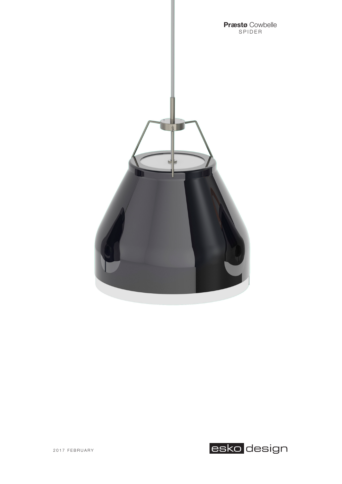